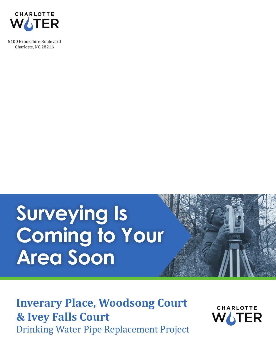

5100 Brookshire Boulevard Charlotte, NC 28216

## **Surveying Is Coming to Your Area Soon**

## Drinking Water Pipe Replacement Project **Inverary Place, Woodsong Court & Ivey Falls Court**